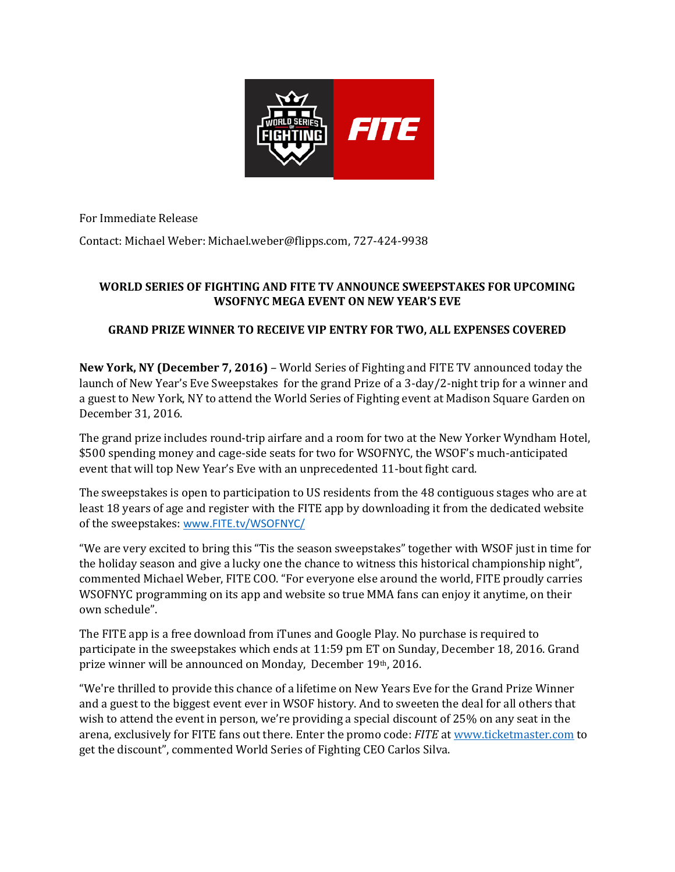

For Immediate Release

Contact: Michael Weber: Michael.weber@flipps.com, 727-424-9938

## **WORLD SERIES OF FIGHTING AND FITE TV ANNOUNCE SWEEPSTAKES FOR UPCOMING WSOFNYC MEGA EVENT ON NEW YEAR'S EVE**

# **GRAND PRIZE WINNER TO RECEIVE VIP ENTRY FOR TWO, ALL EXPENSES COVERED**

**New York, NY (December 7, 2016)** – World Series of Fighting and FITE TV announced today the launch of New Year's Eve Sweepstakes for the grand Prize of a 3-day/2-night trip for a winner and a guest to New York, NY to attend the World Series of Fighting event at Madison Square Garden on December 31, 2016.

The grand prize includes round-trip airfare and a room for two at the New Yorker Wyndham Hotel, \$500 spending money and cage-side seats for two for WSOFNYC, the WSOF's much-anticipated event that will top New Year's Eve with an unprecedented 11-bout fight card.

The sweepstakes is open to participation to US residents from the 48 contiguous stages who are at least 18 years of age and register with the FITE app by downloading it from the dedicated website of the sweepstakes: [www.FITE.tv/WSOFNYC/](http://www.fite.tv/WSOFNYC/)

"We are very excited to bring this "Tis the season sweepstakes" together with WSOF just in time for the holiday season and give a lucky one the chance to witness this historical championship night", commented Michael Weber, FITE COO. "For everyone else around the world, FITE proudly carries WSOFNYC programming on its app and website so true MMA fans can enjoy it anytime, on their own schedule".

The FITE app is a free download from iTunes and Google Play. No purchase is required to participate in the sweepstakes which ends at 11:59 pm ET on Sunday, December 18, 2016. Grand prize winner will be announced on Monday, December 19th, 2016.

"We're thrilled to provide this chance of a lifetime on New Years Eve for the Grand Prize Winner and a guest to the biggest event ever in WSOF history. And to sweeten the deal for all others that wish to attend the event in person, we're providing a special discount of 25% on any seat in the arena, exclusively for FITE fans out there. Enter the promo code: *FITE* a[t www.ticketmaster.com](http://www.ticketmaster.com/) to get the discount", commented World Series of Fighting CEO Carlos Silva.